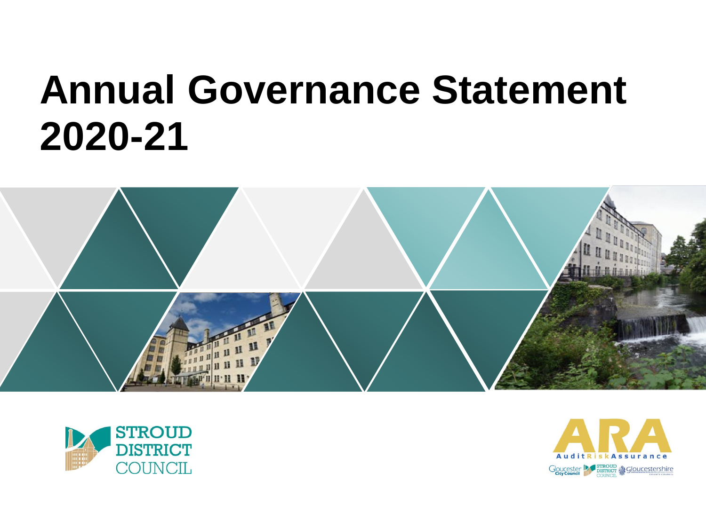# **Annual Governance Statement 2020-21**





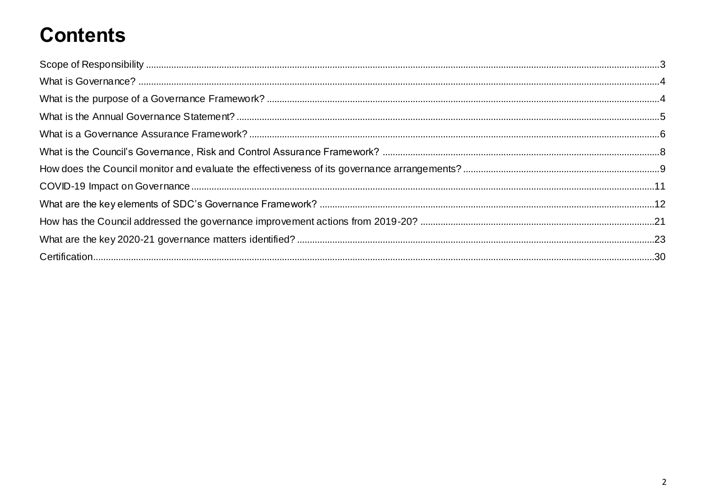# **Contents**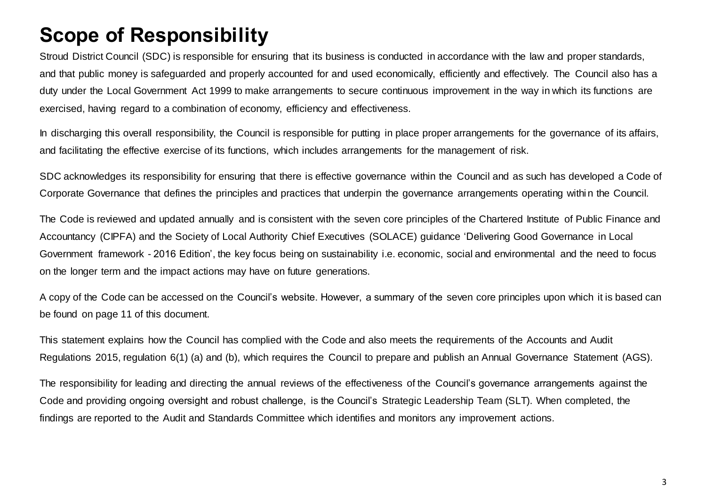# <span id="page-2-0"></span>**Scope of Responsibility**

Stroud District Council (SDC) is responsible for ensuring that its business is conducted in accordance with the law and proper standards, and that public money is safeguarded and properly accounted for and used economically, efficiently and effectively. The Council also has a duty under the Local Government Act 1999 to make arrangements to secure continuous improvement in the way in which its functions are exercised, having regard to a combination of economy, efficiency and effectiveness.

In discharging this overall responsibility, the Council is responsible for putting in place proper arrangements for the governance of its affairs, and facilitating the effective exercise of its functions, which includes arrangements for the management of risk.

SDC acknowledges its responsibility for ensuring that there is effective governance within the Council and as such has developed a Code of Corporate Governance that defines the principles and practices that underpin the governance arrangements operating withi n the Council.

The Code is reviewed and updated annually and is consistent with the seven core principles of the Chartered Institute of Public Finance and Accountancy (CIPFA) and the Society of Local Authority Chief Executives (SOLACE) guidance 'Delivering Good Governance in Local Government framework - 2016 Edition', the key focus being on sustainability i.e. economic, social and environmental and the need to focus on the longer term and the impact actions may have on future generations.

A copy of the Code can be accessed on the Council's website. However, a summary of the seven core principles upon which it is based can be found on page 11 of this document.

This statement explains how the Council has complied with the Code and also meets the requirements of the Accounts and Audit Regulations 2015, regulation 6(1) (a) and (b), which requires the Council to prepare and publish an Annual Governance Statement (AGS).

The responsibility for leading and directing the annual reviews of the effectiveness of the Council's governance arrangements against the Code and providing ongoing oversight and robust challenge, is the Council's Strategic Leadership Team (SLT). When completed, the findings are reported to the Audit and Standards Committee which identifies and monitors any improvement actions.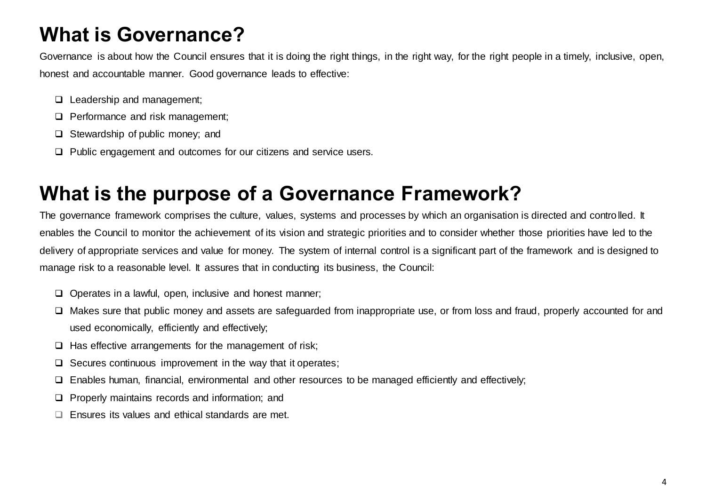# <span id="page-3-0"></span>**What is Governance?**

Governance is about how the Council ensures that it is doing the right things, in the right way, for the right people in a timely, inclusive, open, honest and accountable manner. Good governance leads to effective:

- **Leadership and management;**
- $\Box$  Performance and risk management;
- □ Stewardship of public money: and
- $\Box$  Public engagement and outcomes for our citizens and service users.

### <span id="page-3-1"></span>**What is the purpose of a Governance Framework?**

The governance framework comprises the culture, values, systems and processes by which an organisation is directed and controlled. It enables the Council to monitor the achievement of its vision and strategic priorities and to consider whether those priorities have led to the delivery of appropriate services and value for money. The system of internal control is a significant part of the framework and is designed to manage risk to a reasonable level. It assures that in conducting its business, the Council:

- $\Box$  Operates in a lawful, open, inclusive and honest manner;
- □ Makes sure that public money and assets are safeguarded from inappropriate use, or from loss and fraud, properly accounted for and used economically, efficiently and effectively;
- $\Box$  Has effective arrangements for the management of risk;
- $\Box$  Secures continuous improvement in the way that it operates;
- $\Box$  Enables human, financial, environmental and other resources to be managed efficiently and effectively;
- $\Box$  Properly maintains records and information; and
- $\Box$  Ensures its values and ethical standards are met.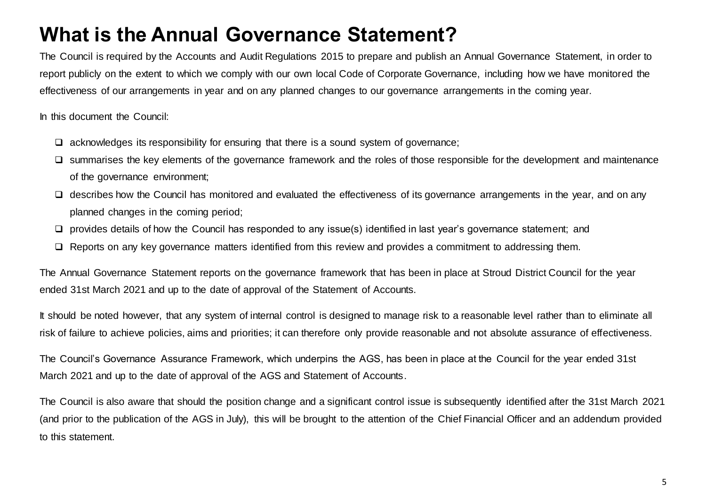### <span id="page-4-0"></span>**What is the Annual Governance Statement?**

The Council is required by the Accounts and Audit Regulations 2015 to prepare and publish an Annual Governance Statement, in order to report publicly on the extent to which we comply with our own local Code of Corporate Governance, including how we have monitored the effectiveness of our arrangements in year and on any planned changes to our governance arrangements in the coming year.

In this document the Council:

- $\Box$  acknowledges its responsibility for ensuring that there is a sound system of governance;
- $\square$  summarises the key elements of the governance framework and the roles of those responsible for the development and maintenance of the governance environment;
- describes how the Council has monitored and evaluated the effectiveness of its governance arrangements in the year, and on any planned changes in the coming period;
- $\square$  provides details of how the Council has responded to any issue(s) identified in last year's governance statement; and
- □ Reports on any key governance matters identified from this review and provides a commitment to addressing them.

The Annual Governance Statement reports on the governance framework that has been in place at Stroud District Council for the year ended 31st March 2021 and up to the date of approval of the Statement of Accounts.

It should be noted however, that any system of internal control is designed to manage risk to a reasonable level rather than to eliminate all risk of failure to achieve policies, aims and priorities; it can therefore only provide reasonable and not absolute assurance of effectiveness.

The Council's Governance Assurance Framework, which underpins the AGS, has been in place at the Council for the year ended 31st March 2021 and up to the date of approval of the AGS and Statement of Accounts.

The Council is also aware that should the position change and a significant control issue is subsequently identified after the 31st March 2021 (and prior to the publication of the AGS in July), this will be brought to the attention of the Chief Financial Officer and an addendum provided to this statement.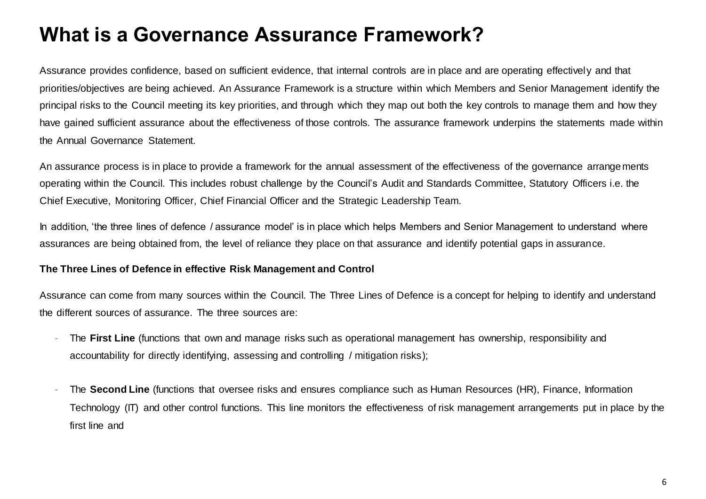### <span id="page-5-0"></span>**What is a Governance Assurance Framework?**

Assurance provides confidence, based on sufficient evidence, that internal controls are in place and are operating effectively and that priorities/objectives are being achieved. An Assurance Framework is a structure within which Members and Senior Management identify the principal risks to the Council meeting its key priorities, and through which they map out both the key controls to manage them and how they have gained sufficient assurance about the effectiveness of those controls. The assurance framework underpins the statements made within the Annual Governance Statement.

An assurance process is in place to provide a framework for the annual assessment of the effectiveness of the governance arrangements operating within the Council. This includes robust challenge by the Council's Audit and Standards Committee, Statutory Officers i.e. the Chief Executive, Monitoring Officer, Chief Financial Officer and the Strategic Leadership Team.

In addition, 'the three lines of defence / assurance model' is in place which helps Members and Senior Management to understand where assurances are being obtained from, the level of reliance they place on that assurance and identify potential gaps in assurance.

#### **The Three Lines of Defence in effective Risk Management and Control**

Assurance can come from many sources within the Council. The Three Lines of Defence is a concept for helping to identify and understand the different sources of assurance. The three sources are:

- The First Line (functions that own and manage risks such as operational management has ownership, responsibility and accountability for directly identifying, assessing and controlling / mitigation risks);
- The **Second Line** (functions that oversee risks and ensures compliance such as Human Resources (HR), Finance, Information Technology (IT) and other control functions. This line monitors the effectiveness of risk management arrangements put in place by the first line and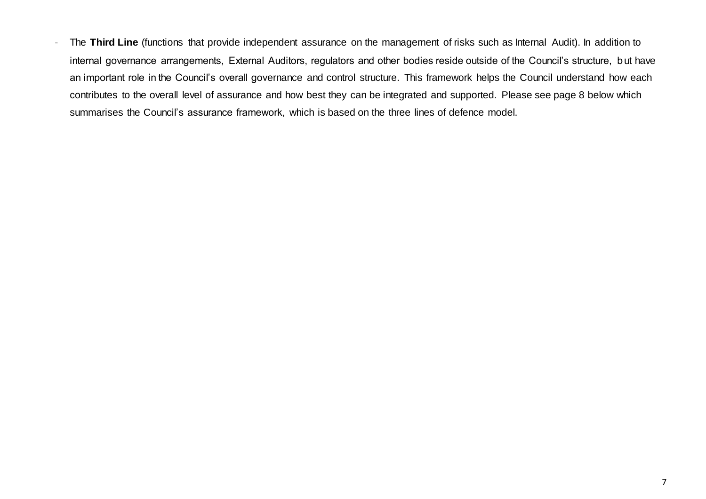The Third Line (functions that provide independent assurance on the management of risks such as Internal Audit). In addition to internal governance arrangements, External Auditors, regulators and other bodies reside outside of the Council's structure, but have an important role in the Council's overall governance and control structure. This framework helps the Council understand how each contributes to the overall level of assurance and how best they can be integrated and supported. Please see page 8 below which summarises the Council's assurance framework, which is based on the three lines of defence model.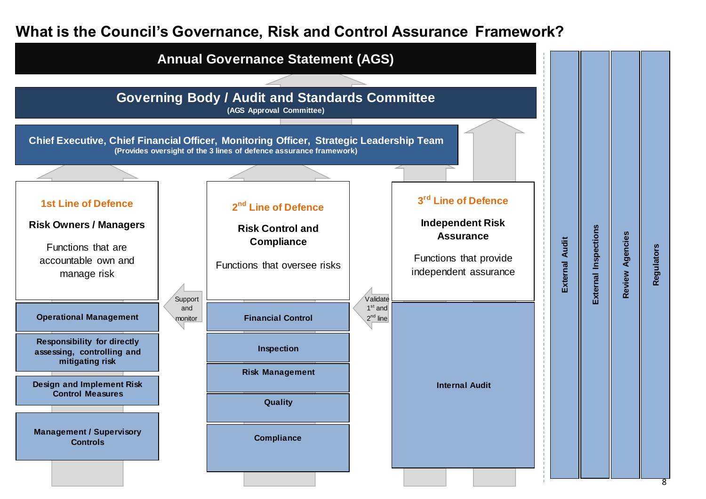#### <span id="page-7-0"></span>**What is the Council's Governance, Risk and Control Assurance Framework?**

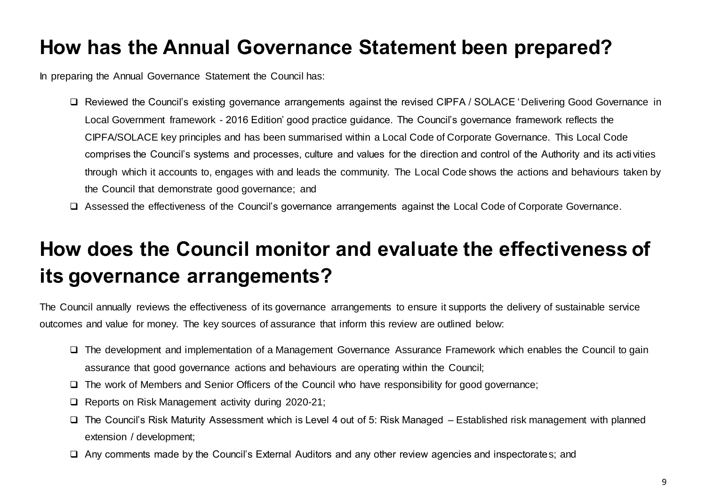### **How has the Annual Governance Statement been prepared?**

In preparing the Annual Governance Statement the Council has:

- □ Reviewed the Council's existing governance arrangements against the revised CIPFA / SOLACE 'Delivering Good Governance in Local Government framework - 2016 Edition' good practice guidance. The Council's governance framework reflects the CIPFA/SOLACE key principles and has been summarised within a Local Code of Corporate Governance. This Local Code comprises the Council's systems and processes, culture and values for the direction and control of the Authority and its acti vities through which it accounts to, engages with and leads the community. The Local Code shows the actions and behaviours taken by the Council that demonstrate good governance; and
- Assessed the effectiveness of the Council's governance arrangements against the Local Code of Corporate Governance.

# <span id="page-8-0"></span>**How does the Council monitor and evaluate the effectiveness of its governance arrangements?**

The Council annually reviews the effectiveness of its governance arrangements to ensure it supports the delivery of sustainable service outcomes and value for money. The key sources of assurance that inform this review are outlined below:

- The development and implementation of a Management Governance Assurance Framework which enables the Council to gain assurance that good governance actions and behaviours are operating within the Council;
- The work of Members and Senior Officers of the Council who have responsibility for good governance;
- □ Reports on Risk Management activity during 2020-21;
- $\Box$  The Council's Risk Maturity Assessment which is Level 4 out of 5: Risk Managed Established risk management with planned extension / development;
- □ Any comments made by the Council's External Auditors and any other review agencies and inspectorates; and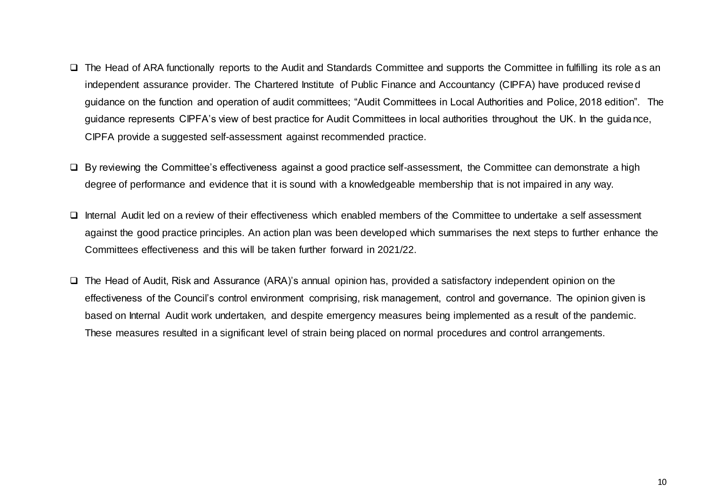- $\Box$  The Head of ARA functionally reports to the Audit and Standards Committee and supports the Committee in fulfilling its role as an independent assurance provider. The Chartered Institute of Public Finance and Accountancy (CIPFA) have produced revised guidance on the function and operation of audit committees; "Audit Committees in Local Authorities and Police, 2018 edition". The guidance represents CIPFA's view of best practice for Audit Committees in local authorities throughout the UK. In the guidance, CIPFA provide a suggested self-assessment against recommended practice.
- □ By reviewing the Committee's effectiveness against a good practice self-assessment, the Committee can demonstrate a high degree of performance and evidence that it is sound with a knowledgeable membership that is not impaired in any way.
- $\Box$  Internal Audit led on a review of their effectiveness which enabled members of the Committee to undertake a self assessment against the good practice principles. An action plan was been developed which summarises the next steps to further enhance the Committees effectiveness and this will be taken further forward in 2021/22.
- The Head of Audit, Risk and Assurance (ARA)'s annual opinion has, provided a satisfactory independent opinion on the effectiveness of the Council's control environment comprising, risk management, control and governance. The opinion given is based on Internal Audit work undertaken, and despite emergency measures being implemented as a result of the pandemic. These measures resulted in a significant level of strain being placed on normal procedures and control arrangements.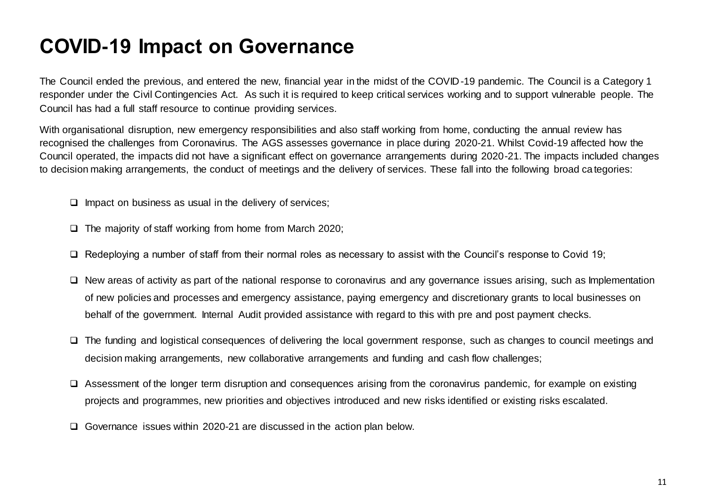### <span id="page-10-0"></span>**COVID-19 Impact on Governance**

The Council ended the previous, and entered the new, financial year in the midst of the COVID-19 pandemic. The Council is a Category 1 responder under the Civil Contingencies Act. As such it is required to keep critical services working and to support vulnerable people. The Council has had a full staff resource to continue providing services.

With organisational disruption, new emergency responsibilities and also staff working from home, conducting the annual review has recognised the challenges from Coronavirus. The AGS assesses governance in place during 2020-21. Whilst Covid-19 affected how the Council operated, the impacts did not have a significant effect on governance arrangements during 2020-21. The impacts included changes to decision making arrangements, the conduct of meetings and the delivery of services. These fall into the following broad categories:

- $\Box$  Impact on business as usual in the delivery of services;
- $\Box$  The majority of staff working from home from March 2020;
- $\Box$  Redeploying a number of staff from their normal roles as necessary to assist with the Council's response to Covid 19;
- $\Box$  New areas of activity as part of the national response to coronavirus and any governance issues arising, such as Implementation of new policies and processes and emergency assistance, paying emergency and discretionary grants to local businesses on behalf of the government. Internal Audit provided assistance with regard to this with pre and post payment checks.
- The funding and logistical consequences of delivering the local government response, such as changes to council meetings and decision making arrangements, new collaborative arrangements and funding and cash flow challenges;
- $\Box$  Assessment of the longer term disruption and consequences arising from the coronavirus pandemic, for example on existing projects and programmes, new priorities and objectives introduced and new risks identified or existing risks escalated.
- Governance issues within 2020-21 are discussed in the action plan below.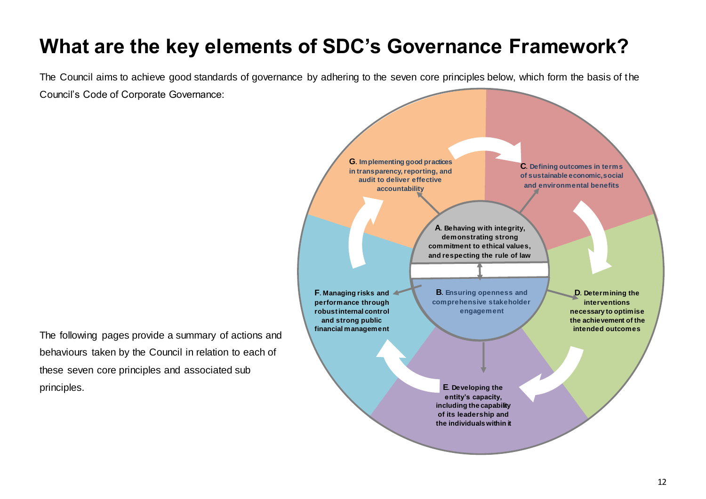# <span id="page-11-0"></span>**What are the key elements of SDC's Governance Framework?**

The Council aims to achieve good standards of governance by adhering to the seven core principles below, which form the basis of the Council's Code of Corporate Governance:

The following pages provide a summary of actions and behaviours taken by the Council in relation to each of these seven core principles and associated sub principles.

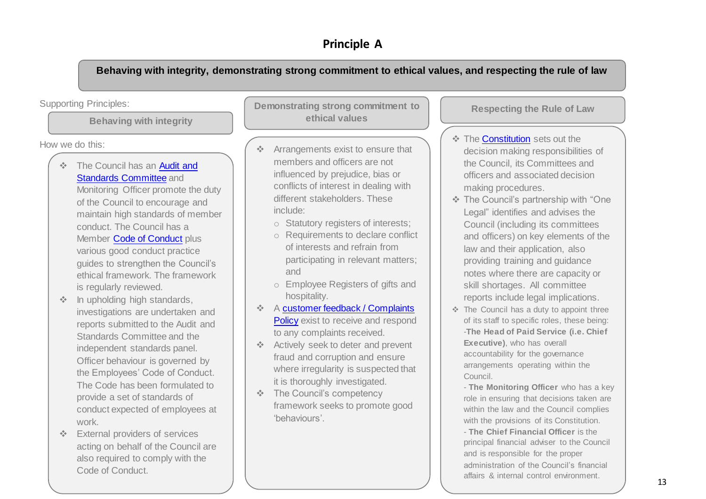#### **Principle A**

**Behaving with integrity, demonstrating strong commitment to ethical values, and respecting the rule of law**

#### Supporting Principles:

**Behaving with integrity**

How we do this:

The Council has an Audit and **[Standards Committee](https://www.stroud.gov.uk/council-and-democracy/meetings/audit-standards-committee) and** 

Monitoring Officer promote the duty of the Council to encourage and maintain high standards of member conduct. The Council has a Member [Code of Conduct](https://www.stroud.gov.uk/media/1349824/section-7-members-code-of-conduct-and-investigations-procedure.pdf) plus various good conduct practice guides to strengthen the Council's ethical framework. The framework is regularly reviewed.

- **In upholding high standards,** investigations are undertaken and reports submitted to the Audit and Standards Committee and the independent standards panel. Officer behaviour is governed by the [Employees' Code of Conduct.](https://www.stroud.gov.uk/media/208440/employee-code-of-conduct-section-10.pdf) The Code has been formulated to provide a set of standards of conduct expected of employees at work.
- External providers of services acting on behalf of the Council are also required to comply with the Code of Conduct.

**Demonstrating strong commitment to ethical values**

- Arrangements exist to ensure that members and officers are not influenced by prejudice, bias or conflicts of interest in dealing with different stakeholders. These include:
	- o Statutory registers of interests;
	- o Requirements to declare conflict of interests and refrain from participating in relevant matters; and
	- o Employee Registers of gifts and hospitality.
- A [customer feedback / Complaints](https://www.stroud.gov.uk/council-and-democracy/about-the-council/contact-us/compliments-and-complaints)  [Policy](https://www.stroud.gov.uk/council-and-democracy/about-the-council/contact-us/compliments-and-complaints) exist to receive and respond to any complaints received.
- Actively seek to deter and prevent fraud and corruption and ensure where irregularity is suspected that it is thoroughly investigated.
- **↑** The Council's competency framework seeks to promote good 'behaviours'.

**Respecting the Rule of Law**

- **❖ Th[e Constitution](https://www.stroud.gov.uk/council-and-democracy/corporate-plans-and-policies/constitution) sets out the** decision making responsibilities of the Council, its Committees and officers and associated decision making procedures.
- The Council's partnership with "One Legal" identifies and advises the Council (including its committees and officers) on key elements of the law and their application, also providing training and guidance notes where there are capacity or skill shortages. All committee reports include legal implications.
- $\div$  The Council has a duty to appoint three of its staff to specific roles, these being: -**The Head of Paid Service (i.e. Chief Executive)**, who has overall accountability for the governance arrangements operating within the Council.

- **The Monitoring Officer** who has a key role in ensuring that decisions taken are within the law and the Council complies with the provisions of its Constitution.

- **The Chief Financial Officer** is the principal financial adviser to the Council and is responsible for the proper administration of the Council's financial affairs & internal control environment.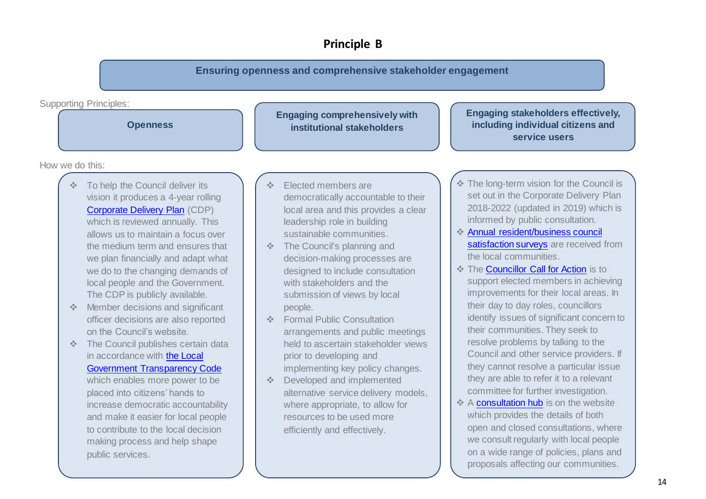#### **Principle B**

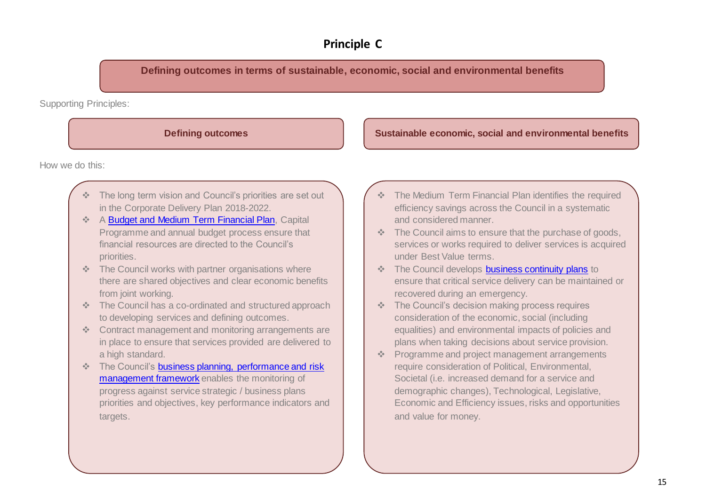#### **Principle C**

**Defining outcomes in terms of sustainable, economic, social and environmental benefits**

Supporting Principles:

**Defining outcomes Sustainable economic, social and environmental benefits** 

How we do this:

- The long term vision and Council's priorities are set out in the Corporate Delivery Plan 2018-2022.
- A [Budget and Medium Term Financial Plan,](https://www.stroud.gov.uk/council-and-democracy/council-budgets-spending) Capital Programme and annual budget process ensure that financial resources are directed to the Council's priorities.
- \* The Council works with partner organisations where there are shared objectives and clear economic benefits from joint working.
- The Council has a co-ordinated and structured approach to developing services and defining outcomes.
- Contract management and monitoring arrangements are in place to ensure that services provided are delivered to a high standard.
- \* The Council's business planning, performance and risk [management framework](https://www.stroud.gov.uk/council-and-democracy/meetings#meetings) enables the monitoring of progress against service strategic / business plans priorities and objectives, key performance indicators and targets.
- \* The Medium Term Financial Plan identifies the required efficiency savings across the Council in a systematic and considered manner.
- $\div$  The Council aims to ensure that the purchase of goods, services or works required to deliver services is acquired under Best Value terms.
- The Council develops [business continuity plans](https://www.stroud.gov.uk/council-and-democracy/about-the-council/emergency-planning/emergencies-business-continuity) to ensure that critical service delivery can be maintained or recovered during an emergency.
- The Council's decision making process requires consideration of the economic, social (including equalities) and environmental impacts of policies and plans when taking decisions about service provision.
- Programme and project management arrangements require consideration of Political, Environmental, Societal (i.e. increased demand for a service and demographic changes), Technological, Legislative, Economic and Efficiency issues, risks and opportunities and value for money.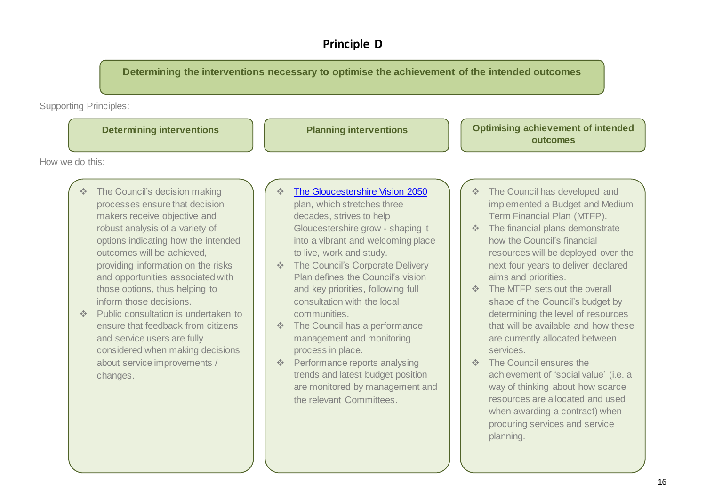#### **Principle D**

**Determining the interventions necessary to optimise the achievement of the intended outcomes**

Supporting Principles:



the relevant Committees.

resources are allocated and used when awarding a contract) when procuring services and service

planning.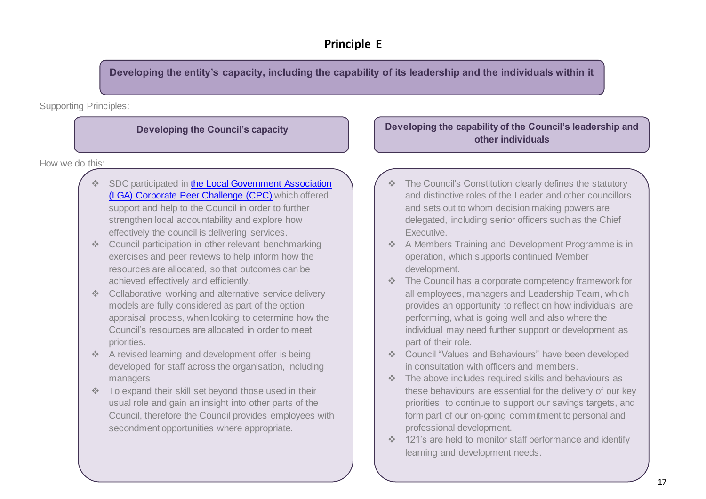**Developing the entity's capacity, including the capability of its leadership and the individuals within it**

Supporting Principles:

How we do this:

- \* SDC participated in the Local Government Association [\(LGA\) Corporate Peer Challenge \(CPC\)](https://www.stroud.gov.uk/news-archive/good-council-ready-to-tackle-challenges-and-support-communities) which offered support and help to the Council in order to further strengthen local accountability and explore how effectively the council is delivering services.
- ❖ Council participation in other relevant benchmarking exercises and peer reviews to help inform how the resources are allocated, so that outcomes can be achieved effectively and efficiently.
- ❖ Collaborative working and alternative service delivery models are fully considered as part of the option appraisal process, when looking to determine how the Council's resources are allocated in order to meet priorities.
- A revised learning and development offer is being developed for staff across the organisation, including managers
- To expand their skill set beyond those used in their usual role and gain an insight into other parts of the Council, therefore the Council provides employees with secondment opportunities where appropriate.

#### **Developing the Council's capacity Developing the capability of the Council's leadership and other individuals**

- The Council's Constitution clearly defines the statutory and distinctive roles of the Leader and other councillors and sets out to whom decision making powers are delegated, including senior officers such as the Chief Executive.
- A Members Training and Development Programme is in operation, which supports continued Member development.
- The Council has a corporate competency framework for all employees, managers and Leadership Team, which provides an opportunity to reflect on how individuals are performing, what is going well and also where the individual may need further support or development as part of their role.
- Council "Values and Behaviours" have been developed in consultation with officers and members.
- The above includes required skills and behaviours as these behaviours are essential for the delivery of our key priorities, to continue to support our savings targets, and form part of our on-going commitment to personal and professional development.
- 121's are held to monitor staff performance and identify learning and development needs.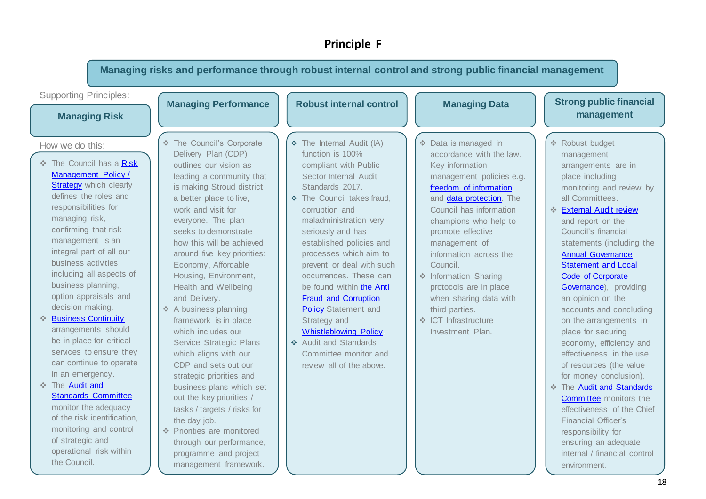#### **Principle F**

**Managing risks and performance through robust internal control and strong public financial management** Supporting Principles: How we do this: **Managing Risk Managing Performance The Council has a Risk** [Management Policy /](https://www.stroud.gov.uk/media/241857/risk-management-policy.pdf)  **[Strategy](https://www.stroud.gov.uk/media/241857/risk-management-policy.pdf)** which clearly defines the roles and responsibilities for managing risk, confirming that risk management is an integral part of all our business activities including all aspects of business planning, option appraisals and decision making. **<sup>◆</sup> [Business Continuity](https://www.stroud.gov.uk/council-and-democracy/about-the-council/emergency-planning/emergencies-business-continuity)** arrangements should be in place for critical services to ensure they can continue to operate in an emergency.  $\div$  The Audit and [Standards Committee](https://www.stroud.gov.uk/council-and-democracy/meetings/audit-standards-committee) monitor the adequacy of the risk identification, monitoring and control of strategic and operational risk within the Council. **\*** The Council's Corporate Delivery Plan (CDP) outlines our vision as leading a community that is making Stroud district a better place to live, work and visit for everyone. The plan seeks to demonstrate how this will be achieved around five key priorities: Economy, Affordable Housing, Environment, Health and Wellbeing and Delivery. ❖ A business planning framework is in place which includes our Service Strategic Plans which aligns with our CDP and sets out our strategic priorities and business plans which set out the key priorities / tasks / targets / risks for the day job. Priorities are monitored through our performance, programme and project management framework. Robust internal control | Managing Data | Strong public financial **management**  $\triangle$  The Internal Audit (IA) function is 100% compliant with Public Sector Internal Audit Standards 2017. The Council takes fraud, corruption and maladministration very seriously and has established policies and processes which aim to prevent or deal with such occurrences. These can be found within the Anti [Fraud and Corruption](https://www.stroud.gov.uk/media/1287085/item-5-appendix-a-counter-fraud-and-corruption-policy-statement-and-strategy-2020-2023.pdf)  **[Policy](https://www.stroud.gov.uk/media/1287085/item-5-appendix-a-counter-fraud-and-corruption-policy-statement-and-strategy-2020-2023.pdf) Statement and** Strategy and [Whistleblowing Policy.](https://www.stroud.gov.uk/media/1349834/section-14-whistle-blowing-policy.pdf) Audit and Standards Committee monitor and review all of the above. **Managing Data** Data is managed in accordance with the law. Key information management policies e.g. [freedom of information](https://www.stroud.gov.uk/council-and-democracy/opendata/data-protection-and-foi/freedom-of-information-foi) and [data protection.](https://www.stroud.gov.uk/council-and-democracy/transparency/data-protection-and-foi/data-protection) The Council has information champions who help to promote effective management of information across the Council. Information Sharing protocols are in place when sharing data with third parties. ◆ ICT Infrastructure Investment Plan. **❖ Robust budget** management arrangements are in place including monitoring and review by all Committees. **[External Audit review](https://www.stroud.gov.uk/council-and-democracy/council-budgets-spending/statement-of-accounts)** and report on the Council's financial statements (including the [Annual Governance](https://www.stroud.gov.uk/council-and-democracy/council-budgets-spending/statement-of-accounts)  [Statement and Local](https://www.stroud.gov.uk/council-and-democracy/council-budgets-spending/statement-of-accounts)  [Code of Corporate](https://www.stroud.gov.uk/council-and-democracy/council-budgets-spending/statement-of-accounts)  [Governance\),](https://www.stroud.gov.uk/council-and-democracy/council-budgets-spending/statement-of-accounts) providing an opinion on the accounts and concluding on the arrangements in place for securing economy, efficiency and effectiveness in the use of resources (the value for money conclusion).  $\div$  The Audit and Standards **[Committee](https://www.stroud.gov.uk/council-and-democracy/meetings/audit-standards-committee)** monitors the effectiveness of the Chief Financial Officer's responsibility for ensuring an adequate internal / financial control environment.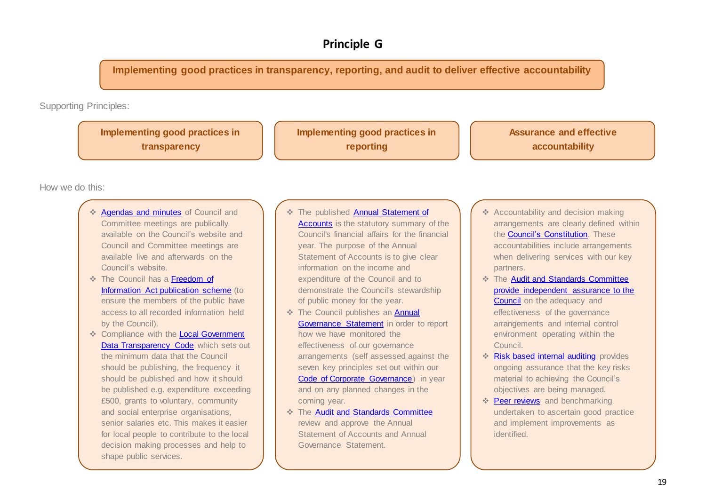#### **Principle G**

**Implementing good practices in transparency, reporting, and audit to deliver effective accountability**

Supporting Principles:

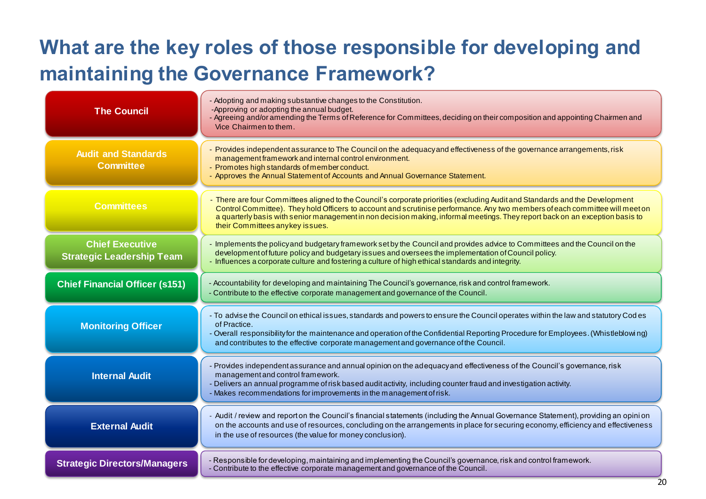# **What are the key roles of those responsible for developing and maintaining the Governance Framework?**

| <b>The Council</b>                                         | - Adopting and making substantive changes to the Constitution.<br>-Approving or adopting the annual budget.<br>- Agreeing and/or amending the Terms of Reference for Committees, deciding on their composition and appointing Chairmen and<br>Vice Chairmen to them.                                                                                                                                                              |
|------------------------------------------------------------|-----------------------------------------------------------------------------------------------------------------------------------------------------------------------------------------------------------------------------------------------------------------------------------------------------------------------------------------------------------------------------------------------------------------------------------|
| <b>Audit and Standards</b><br><b>Committee</b>             | - Provides independent assurance to The Council on the adequacyand effectiveness of the governance arrangements, risk<br>management framework and internal control environment.<br>- Promotes high standards of member conduct.<br>- Approves the Annual Statement of Accounts and Annual Governance Statement.                                                                                                                   |
| <b>Committees</b>                                          | - There are four Committees aligned to the Council's corporate priorities (excluding Audit and Standards and the Development<br>Control Committee). They hold Officers to account and scrutinise performance. Any two members of each committee will meet on<br>a quarterly basis with senior management in non decision making, informal meetings. They report back on an exception basis to<br>their Committees any key issues. |
| <b>Chief Executive</b><br><b>Strategic Leadership Team</b> | Implements the policy and budgetary framework set by the Council and provides advice to Committees and the Council on the<br>development of future policy and budgetary issues and oversees the implementation of Council policy.<br>- Influences a corporate culture and fostering a culture of high ethical standards and integrity.                                                                                            |
| <b>Chief Financial Officer (s151)</b>                      | - Accountability for developing and maintaining The Council's governance, risk and control framework.<br>- Contribute to the effective corporate management and governance of the Council.                                                                                                                                                                                                                                        |
| <b>Monitoring Officer</b>                                  | - To advise the Council on ethical issues, standards and powers to ensure the Council operates within the law and statutory Cod es<br>of Practice.<br>- Overall responsibility for the maintenance and operation of the Confidential Reporting Procedure for Employees. (Whistleblowing)<br>and contributes to the effective corporate management and governance of the Council.                                                  |
| <b>Internal Audit</b>                                      | - Provides independent assurance and annual opinion on the adequacyand effectiveness of the Council's governance, risk<br>management and control framework.<br>- Delivers an annual programme of risk based audit activity, including counter fraud and investigation activity.<br>- Makes recommendations for improvements in the management of risk.                                                                            |
| <b>External Audit</b>                                      | Audit / review and reporton the Council's financial statements (including the Annual Governance Statement), providing an opinion<br>on the accounts and use of resources, concluding on the arrangements in place for securing economy, efficiency and effectiveness<br>in the use of resources (the value for money conclusion).                                                                                                 |
| <b>Strategic Directors/Managers</b>                        | - Responsible for developing, maintaining and implementing the Council's governance, risk and control framework.<br>- Contribute to the effective corporate management and governance of the Council.                                                                                                                                                                                                                             |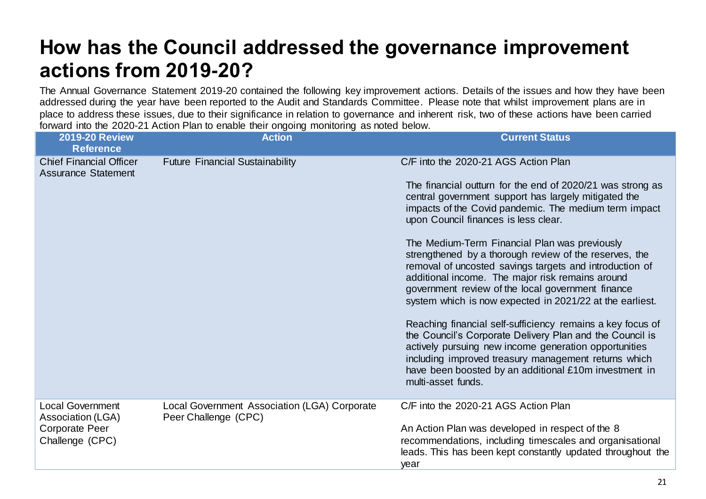### <span id="page-20-0"></span>**How has the Council addressed the governance improvement actions from 2019-20?**

The Annual Governance Statement 2019-20 contained the following key improvement actions. Details of the issues and how they have been addressed during the year have been reported to the Audit and Standards Committee. Please note that whilst improvement plans are in place to address these issues, due to their significance in relation to governance and inherent risk, two of these actions have been carried forward into the 2020-21 Action Plan to enable their ongoing monitoring as noted below.

| <b>2019-20 Review</b><br><b>Reference</b>                                         | <b>Action</b>                                                        | <b>Current Status</b>                                                                                                                                                                                                                                                                                                                                                                                                                                                                                                                                                                                                                                                                                                                                                                                                                                                                                                            |
|-----------------------------------------------------------------------------------|----------------------------------------------------------------------|----------------------------------------------------------------------------------------------------------------------------------------------------------------------------------------------------------------------------------------------------------------------------------------------------------------------------------------------------------------------------------------------------------------------------------------------------------------------------------------------------------------------------------------------------------------------------------------------------------------------------------------------------------------------------------------------------------------------------------------------------------------------------------------------------------------------------------------------------------------------------------------------------------------------------------|
| <b>Chief Financial Officer</b><br><b>Assurance Statement</b>                      | <b>Future Financial Sustainability</b>                               | C/F into the 2020-21 AGS Action Plan<br>The financial outturn for the end of 2020/21 was strong as<br>central government support has largely mitigated the<br>impacts of the Covid pandemic. The medium term impact<br>upon Council finances is less clear.<br>The Medium-Term Financial Plan was previously<br>strengthened by a thorough review of the reserves, the<br>removal of uncosted savings targets and introduction of<br>additional income. The major risk remains around<br>government review of the local government finance<br>system which is now expected in 2021/22 at the earliest.<br>Reaching financial self-sufficiency remains a key focus of<br>the Council's Corporate Delivery Plan and the Council is<br>actively pursuing new income generation opportunities<br>including improved treasury management returns which<br>have been boosted by an additional £10m investment in<br>multi-asset funds. |
| <b>Local Government</b><br>Association (LGA)<br>Corporate Peer<br>Challenge (CPC) | Local Government Association (LGA) Corporate<br>Peer Challenge (CPC) | C/F into the 2020-21 AGS Action Plan<br>An Action Plan was developed in respect of the 8<br>recommendations, including timescales and organisational<br>leads. This has been kept constantly updated throughout the<br>year                                                                                                                                                                                                                                                                                                                                                                                                                                                                                                                                                                                                                                                                                                      |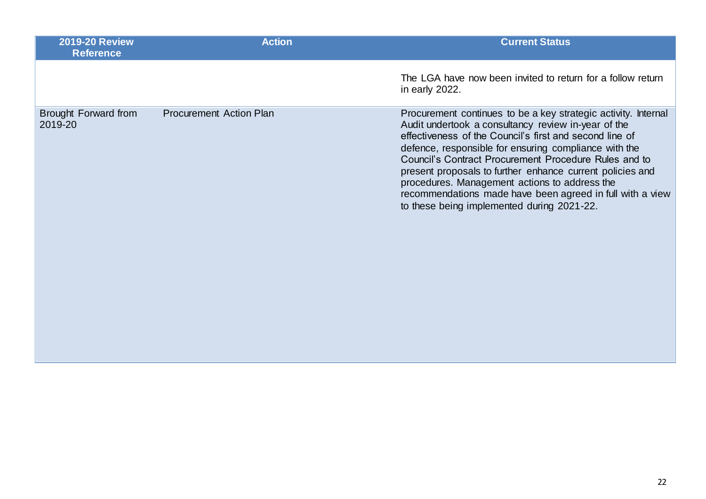| <b>2019-20 Review</b><br><b>Reference</b> | <b>Action</b>                  | <b>Current Status</b>                                                                                                                                                                                                                                                                                                                                                                                                                                                                                                       |
|-------------------------------------------|--------------------------------|-----------------------------------------------------------------------------------------------------------------------------------------------------------------------------------------------------------------------------------------------------------------------------------------------------------------------------------------------------------------------------------------------------------------------------------------------------------------------------------------------------------------------------|
|                                           |                                | The LGA have now been invited to return for a follow return<br>in early 2022.                                                                                                                                                                                                                                                                                                                                                                                                                                               |
| Brought Forward from<br>2019-20           | <b>Procurement Action Plan</b> | Procurement continues to be a key strategic activity. Internal<br>Audit undertook a consultancy review in-year of the<br>effectiveness of the Council's first and second line of<br>defence, responsible for ensuring compliance with the<br>Council's Contract Procurement Procedure Rules and to<br>present proposals to further enhance current policies and<br>procedures. Management actions to address the<br>recommendations made have been agreed in full with a view<br>to these being implemented during 2021-22. |
|                                           |                                |                                                                                                                                                                                                                                                                                                                                                                                                                                                                                                                             |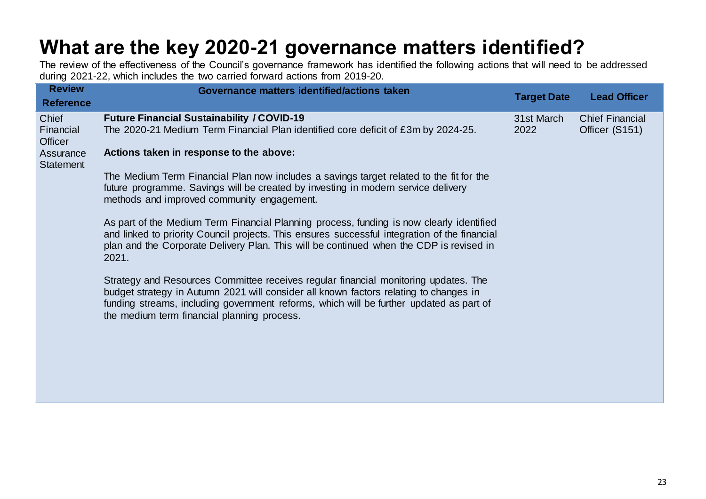# <span id="page-22-0"></span>**What are the key 2020-21 governance matters identified?**

The review of the effectiveness of the Council's governance framework has identified the following actions that will need to be addressed during 2021-22, which includes the two carried forward actions from 2019-20.

| <b>Review</b>                                                         | Governance matters identified/actions taken                                                                                                                                                                                                                                                                                                                                                                                                                                                                 |                    |                                          |
|-----------------------------------------------------------------------|-------------------------------------------------------------------------------------------------------------------------------------------------------------------------------------------------------------------------------------------------------------------------------------------------------------------------------------------------------------------------------------------------------------------------------------------------------------------------------------------------------------|--------------------|------------------------------------------|
| <b>Reference</b>                                                      |                                                                                                                                                                                                                                                                                                                                                                                                                                                                                                             | <b>Target Date</b> | <b>Lead Officer</b>                      |
| Chief<br>Financial<br><b>Officer</b><br>Assurance<br><b>Statement</b> | <b>Future Financial Sustainability / COVID-19</b><br>The 2020-21 Medium Term Financial Plan identified core deficit of £3m by 2024-25.<br>Actions taken in response to the above:<br>The Medium Term Financial Plan now includes a savings target related to the fit for the<br>future programme. Savings will be created by investing in modern service delivery<br>methods and improved community engagement.<br>As part of the Medium Term Financial Planning process, funding is now clearly identified | 31st March<br>2022 | <b>Chief Financial</b><br>Officer (S151) |
|                                                                       | and linked to priority Council projects. This ensures successful integration of the financial<br>plan and the Corporate Delivery Plan. This will be continued when the CDP is revised in<br>2021.<br>Strategy and Resources Committee receives regular financial monitoring updates. The<br>budget strategy in Autumn 2021 will consider all known factors relating to changes in                                                                                                                           |                    |                                          |
|                                                                       | funding streams, including government reforms, which will be further updated as part of<br>the medium term financial planning process.                                                                                                                                                                                                                                                                                                                                                                      |                    |                                          |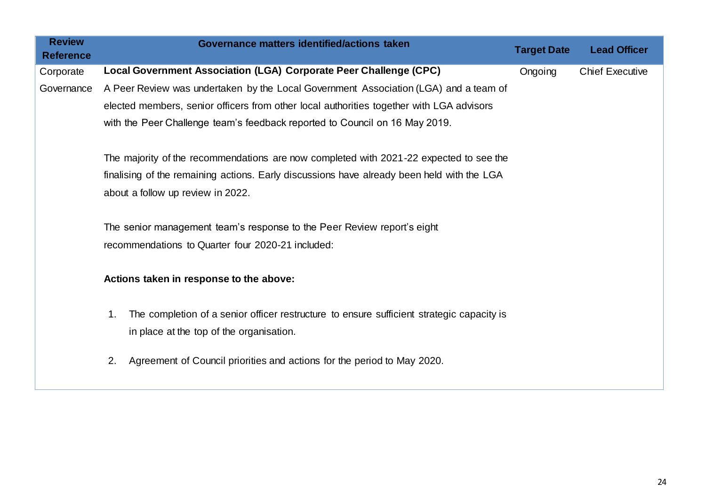| <b>Review</b>    | Governance matters identified/actions taken                                                     | <b>Target Date</b> | <b>Lead Officer</b>    |
|------------------|-------------------------------------------------------------------------------------------------|--------------------|------------------------|
| <b>Reference</b> |                                                                                                 |                    |                        |
| Corporate        | Local Government Association (LGA) Corporate Peer Challenge (CPC)                               | Ongoing            | <b>Chief Executive</b> |
| Governance       | A Peer Review was undertaken by the Local Government Association (LGA) and a team of            |                    |                        |
|                  | elected members, senior officers from other local authorities together with LGA advisors        |                    |                        |
|                  | with the Peer Challenge team's feedback reported to Council on 16 May 2019.                     |                    |                        |
|                  | The majority of the recommendations are now completed with 2021-22 expected to see the          |                    |                        |
|                  |                                                                                                 |                    |                        |
|                  | finalising of the remaining actions. Early discussions have already been held with the LGA      |                    |                        |
|                  | about a follow up review in 2022.                                                               |                    |                        |
|                  |                                                                                                 |                    |                        |
|                  | The senior management team's response to the Peer Review report's eight                         |                    |                        |
|                  | recommendations to Quarter four 2020-21 included:                                               |                    |                        |
|                  |                                                                                                 |                    |                        |
|                  | Actions taken in response to the above:                                                         |                    |                        |
|                  |                                                                                                 |                    |                        |
|                  | The completion of a senior officer restructure to ensure sufficient strategic capacity is<br>1. |                    |                        |
|                  | in place at the top of the organisation.                                                        |                    |                        |
|                  | Agreement of Council priorities and actions for the period to May 2020.<br>2.                   |                    |                        |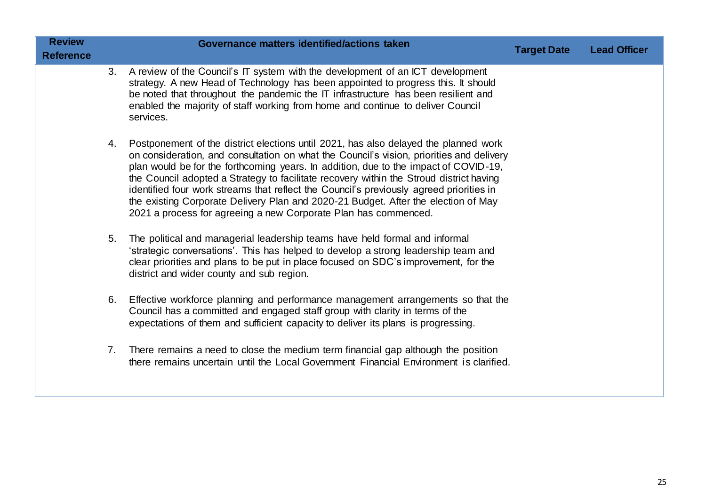| <b>Review</b><br><b>Reference</b> |    | Governance matters identified/actions taken                                                                                                                                                                                                                                                                                                                                                                                                                                                                                                                                                                             | <b>Target Date</b> | <b>Lead Officer</b> |
|-----------------------------------|----|-------------------------------------------------------------------------------------------------------------------------------------------------------------------------------------------------------------------------------------------------------------------------------------------------------------------------------------------------------------------------------------------------------------------------------------------------------------------------------------------------------------------------------------------------------------------------------------------------------------------------|--------------------|---------------------|
|                                   | 3. | A review of the Council's IT system with the development of an ICT development<br>strategy. A new Head of Technology has been appointed to progress this. It should<br>be noted that throughout the pandemic the IT infrastructure has been resilient and<br>enabled the majority of staff working from home and continue to deliver Council<br>services.                                                                                                                                                                                                                                                               |                    |                     |
|                                   | 4. | Postponement of the district elections until 2021, has also delayed the planned work<br>on consideration, and consultation on what the Council's vision, priorities and delivery<br>plan would be for the forthcoming years. In addition, due to the impact of COVID-19,<br>the Council adopted a Strategy to facilitate recovery within the Stroud district having<br>identified four work streams that reflect the Council's previously agreed priorities in<br>the existing Corporate Delivery Plan and 2020-21 Budget. After the election of May<br>2021 a process for agreeing a new Corporate Plan has commenced. |                    |                     |
|                                   | 5. | The political and managerial leadership teams have held formal and informal<br>'strategic conversations'. This has helped to develop a strong leadership team and<br>clear priorities and plans to be put in place focused on SDC's improvement, for the<br>district and wider county and sub region.                                                                                                                                                                                                                                                                                                                   |                    |                     |
|                                   | 6. | Effective workforce planning and performance management arrangements so that the<br>Council has a committed and engaged staff group with clarity in terms of the<br>expectations of them and sufficient capacity to deliver its plans is progressing.                                                                                                                                                                                                                                                                                                                                                                   |                    |                     |
|                                   | 7. | There remains a need to close the medium term financial gap although the position<br>there remains uncertain until the Local Government Financial Environment is clarified.                                                                                                                                                                                                                                                                                                                                                                                                                                             |                    |                     |
|                                   |    |                                                                                                                                                                                                                                                                                                                                                                                                                                                                                                                                                                                                                         |                    |                     |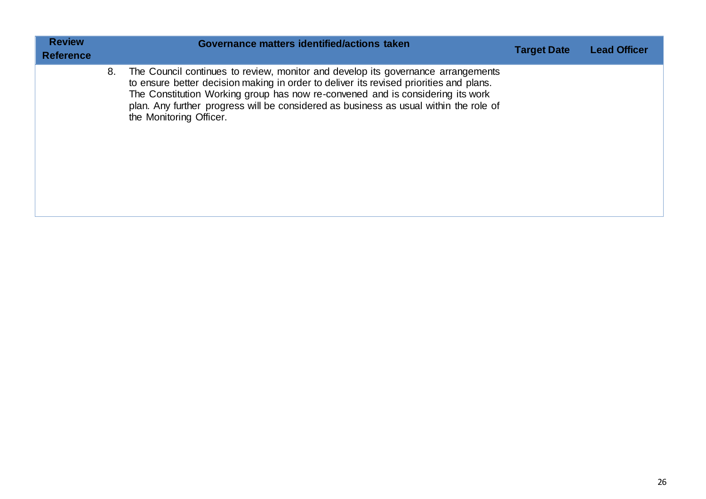| <b>Review</b><br><b>Reference</b> |    | Governance matters identified/actions taken                                                                                                                                                                                                                                                                                                                                      | <b>Target Date</b> | <b>Lead Officer</b> |
|-----------------------------------|----|----------------------------------------------------------------------------------------------------------------------------------------------------------------------------------------------------------------------------------------------------------------------------------------------------------------------------------------------------------------------------------|--------------------|---------------------|
|                                   | 8. | The Council continues to review, monitor and develop its governance arrangements<br>to ensure better decision making in order to deliver its revised priorities and plans.<br>The Constitution Working group has now re-convened and is considering its work<br>plan. Any further progress will be considered as business as usual within the role of<br>the Monitoring Officer. |                    |                     |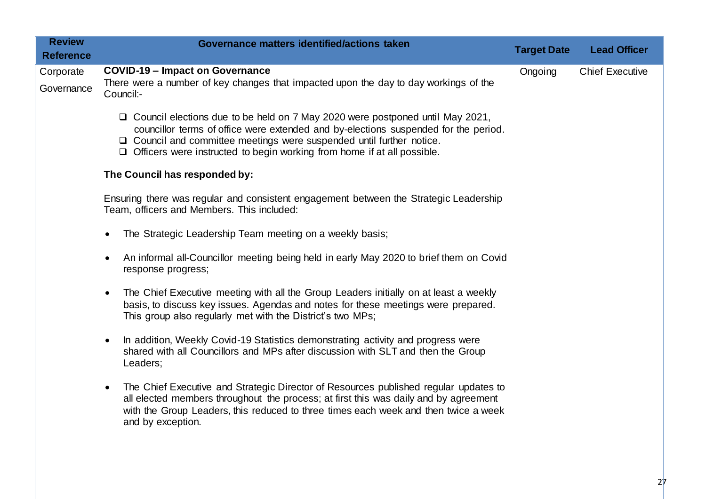| <b>Review</b><br><b>Reference</b> | Governance matters identified/actions taken                                                                                                                                                                                                                                                                                                 | <b>Target Date</b> | <b>Lead Officer</b>    |
|-----------------------------------|---------------------------------------------------------------------------------------------------------------------------------------------------------------------------------------------------------------------------------------------------------------------------------------------------------------------------------------------|--------------------|------------------------|
| Corporate<br>Governance           | <b>COVID-19 - Impact on Governance</b><br>There were a number of key changes that impacted upon the day to day workings of the<br>Council:-                                                                                                                                                                                                 | Ongoing            | <b>Chief Executive</b> |
|                                   | $\Box$ Council elections due to be held on 7 May 2020 were postponed until May 2021,<br>councillor terms of office were extended and by-elections suspended for the period.<br>$\Box$ Council and committee meetings were suspended until further notice.<br>$\Box$ Officers were instructed to begin working from home if at all possible. |                    |                        |
|                                   | The Council has responded by:                                                                                                                                                                                                                                                                                                               |                    |                        |
|                                   | Ensuring there was regular and consistent engagement between the Strategic Leadership<br>Team, officers and Members. This included:                                                                                                                                                                                                         |                    |                        |
|                                   | The Strategic Leadership Team meeting on a weekly basis;<br>$\bullet$                                                                                                                                                                                                                                                                       |                    |                        |
|                                   | An informal all-Councillor meeting being held in early May 2020 to brief them on Covid<br>$\bullet$<br>response progress;                                                                                                                                                                                                                   |                    |                        |
|                                   | The Chief Executive meeting with all the Group Leaders initially on at least a weekly<br>$\bullet$<br>basis, to discuss key issues. Agendas and notes for these meetings were prepared.<br>This group also regularly met with the District's two MPs;                                                                                       |                    |                        |
|                                   | In addition, Weekly Covid-19 Statistics demonstrating activity and progress were<br>$\bullet$<br>shared with all Councillors and MPs after discussion with SLT and then the Group<br>Leaders;                                                                                                                                               |                    |                        |
|                                   | The Chief Executive and Strategic Director of Resources published regular updates to<br>$\bullet$<br>all elected members throughout the process; at first this was daily and by agreement<br>with the Group Leaders, this reduced to three times each week and then twice a week<br>and by exception.                                       |                    |                        |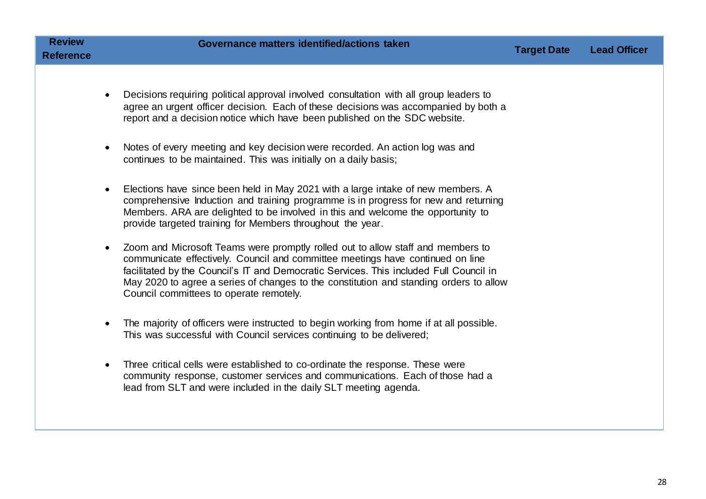| Review    |  |
|-----------|--|
| Reference |  |

- Decisions requiring political approval involved consultation with all group leaders to agree an urgent officer decision. Each of these decisions was accompanied by both a report and a decision notice which have been published on the SDC website.
- Notes of every meeting and key decision were recorded. An action log was and continues to be maintained. This was initially on a daily basis;
- Elections have since been held in May 2021 with a large intake of new members. A comprehensive Induction and training programme is in progress for new and returning Members. ARA are delighted to be involved in this and welcome the opportunity to provide targeted training for Members throughout the year.
- Zoom and Microsoft Teams were promptly rolled out to allow staff and members to communicate effectively. Council and committee meetings have continued on line facilitated by the Council's IT and Democratic Services. This included Full Council in May 2020 to agree a series of changes to the constitution and standing orders to allow Council committees to operate remotely.
- The majority of officers were instructed to begin working from home if at all possible. This was successful with Council services continuing to be delivered;
- Three critical cells were established to co-ordinate the response. These were community response, customer services and communications. Each of those had a lead from SLT and were included in the daily SLT meeting agenda.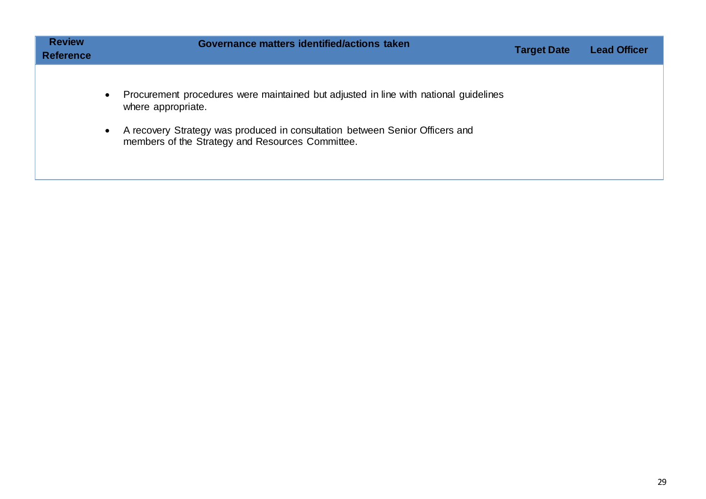| <b>Review</b><br><b>Reference</b> | Governance matters identified/actions taken                                                                                                                                                                                                                              | <b>Target Date</b> | <b>Lead Officer</b> |
|-----------------------------------|--------------------------------------------------------------------------------------------------------------------------------------------------------------------------------------------------------------------------------------------------------------------------|--------------------|---------------------|
|                                   | Procurement procedures were maintained but adjusted in line with national guidelines<br>$\bullet$<br>where appropriate.<br>A recovery Strategy was produced in consultation between Senior Officers and<br>$\bullet$<br>members of the Strategy and Resources Committee. |                    |                     |

 $\mathbf{r}$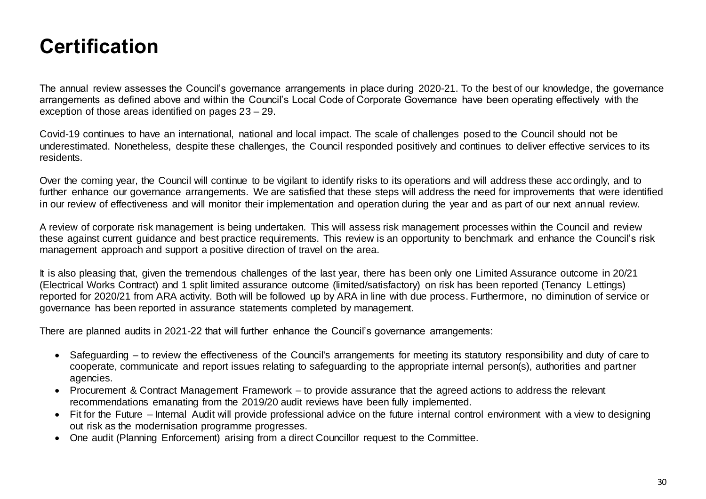### <span id="page-29-0"></span>**Certification**

The annual review assesses the Council's governance arrangements in place during 2020-21. To the best of our knowledge, the governance arrangements as defined above and within the Council's Local Code of Corporate Governance have been operating effectively with the exception of those areas identified on pages 23 – 29.

Covid-19 continues to have an international, national and local impact. The scale of challenges posed to the Council should not be underestimated. Nonetheless, despite these challenges, the Council responded positively and continues to deliver effective services to its residents.

Over the coming year, the Council will continue to be vigilant to identify risks to its operations and will address these accordingly, and to further enhance our governance arrangements. We are satisfied that these steps will address the need for improvements that were identified in our review of effectiveness and will monitor their implementation and operation during the year and as part of our next annual review.

A review of corporate risk management is being undertaken. This will assess risk management processes within the Council and review these against current guidance and best practice requirements. This review is an opportunity to benchmark and enhance the Council's risk management approach and support a positive direction of travel on the area.

It is also pleasing that, given the tremendous challenges of the last year, there has been only one Limited Assurance outcome in 20/21 (Electrical Works Contract) and 1 split limited assurance outcome (limited/satisfactory) on risk has been reported (Tenancy Lettings) reported for 2020/21 from ARA activity. Both will be followed up by ARA in line with due process. Furthermore, no diminution of service or governance has been reported in assurance statements completed by management.

There are planned audits in 2021-22 that will further enhance the Council's governance arrangements:

- Safeguarding to review the effectiveness of the Council's arrangements for meeting its statutory responsibility and duty of care to cooperate, communicate and report issues relating to safeguarding to the appropriate internal person(s), authorities and partner agencies.
- Procurement & Contract Management Framework to provide assurance that the agreed actions to address the relevant recommendations emanating from the 2019/20 audit reviews have been fully implemented.
- Fit for the Future Internal Audit will provide professional advice on the future internal control environment with a view to designing out risk as the modernisation programme progresses.
- One audit (Planning Enforcement) arising from a direct Councillor request to the Committee.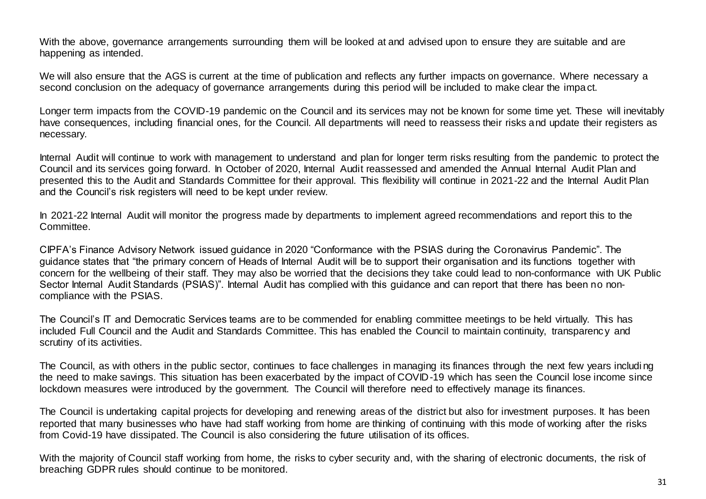With the above, governance arrangements surrounding them will be looked at and advised upon to ensure they are suitable and are happening as intended.

We will also ensure that the AGS is current at the time of publication and reflects any further impacts on governance. Where necessary a second conclusion on the adequacy of governance arrangements during this period will be included to make clear the impact.

Longer term impacts from the COVID-19 pandemic on the Council and its services may not be known for some time yet. These will inevitably have consequences, including financial ones, for the Council. All departments will need to reassess their risks and update their registers as necessary.

Internal Audit will continue to work with management to understand and plan for longer term risks resulting from the pandemic to protect the Council and its services going forward. In October of 2020, Internal Audit reassessed and amended the Annual Internal Audit Plan and presented this to the Audit and Standards Committee for their approval. This flexibility will continue in 2021-22 and the Internal Audit Plan and the Council's risk registers will need to be kept under review.

In 2021-22 Internal Audit will monitor the progress made by departments to implement agreed recommendations and report this to the Committee.

CIPFA's Finance Advisory Network issued guidance in 2020 "Conformance with the PSIAS during the Coronavirus Pandemic". The guidance states that "the primary concern of Heads of Internal Audit will be to support their organisation and its functions together with concern for the wellbeing of their staff. They may also be worried that the decisions they take could lead to non-conformance with UK Public Sector Internal Audit Standards (PSIAS)". Internal Audit has complied with this guidance and can report that there has been no noncompliance with the PSIAS.

The Council's IT and Democratic Services teams are to be commended for enabling committee meetings to be held virtually. This has included Full Council and the Audit and Standards Committee. This has enabled the Council to maintain continuity, transparenc y and scrutiny of its activities.

The Council, as with others in the public sector, continues to face challenges in managing its finances through the next few years includi ng the need to make savings. This situation has been exacerbated by the impact of COVID-19 which has seen the Council lose income since lockdown measures were introduced by the government. The Council will therefore need to effectively manage its finances.

The Council is undertaking capital projects for developing and renewing areas of the district but also for investment purposes. It has been reported that many businesses who have had staff working from home are thinking of continuing with this mode of working after the risks from Covid-19 have dissipated. The Council is also considering the future utilisation of its offices.

With the majority of Council staff working from home, the risks to cyber security and, with the sharing of electronic documents, the risk of breaching GDPR rules should continue to be monitored.